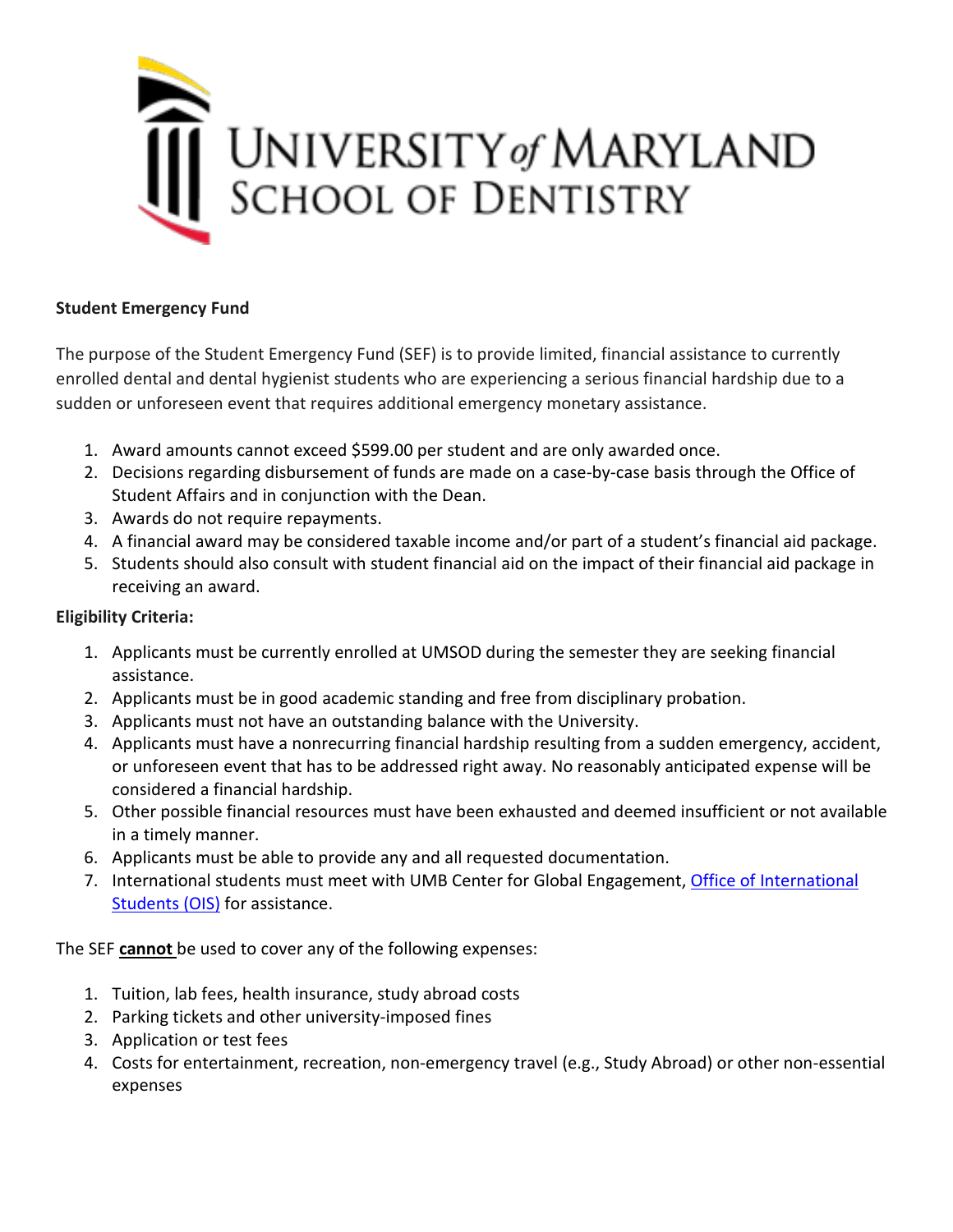

## **Student Emergency Fund**

The purpose of the Student Emergency Fund (SEF) is to provide limited, financial assistance to currently enrolled dental and dental hygienist students who are experiencing a serious financial hardship due to a sudden or unforeseen event that requires additional emergency monetary assistance.

- 1. Award amounts cannot exceed \$599.00 per student and are only awarded once.
- 2. Decisions regarding disbursement of funds are made on a case-by-case basis through the Office of Student Affairs and in conjunction with the Dean.
- 3. Awards do not require repayments.
- 4. A financial award may be considered taxable income and/or part of a student's financial aid package.
- 5. Students should also consult with student financial aid on the impact of their financial aid package in receiving an award.

# **Eligibility Criteria:**

- 1. Applicants must be currently enrolled at UMSOD during the semester they are seeking financial assistance.
- 2. Applicants must be in good academic standing and free from disciplinary probation.
- 3. Applicants must not have an outstanding balance with the University.
- 4. Applicants must have a nonrecurring financial hardship resulting from a sudden emergency, accident, or unforeseen event that has to be addressed right away. No reasonably anticipated expense will be considered a financial hardship.
- 5. Other possible financial resources must have been exhausted and deemed insufficient or not available in a timely manner.
- 6. Applicants must be able to provide any and all requested documentation.
- 7. International students must meet with UMB Center for Global Engagement, Office of International [Students \(OIS\)](https://www.umaryland.edu/ois/) for assistance.

The SEF **cannot** be used to cover any of the following expenses:

- 1. Tuition, lab fees, health insurance, study abroad costs
- 2. Parking tickets and other university-imposed fines
- 3. Application or test fees
- 4. Costs for entertainment, recreation, non-emergency travel (e.g., Study Abroad) or other non-essential expenses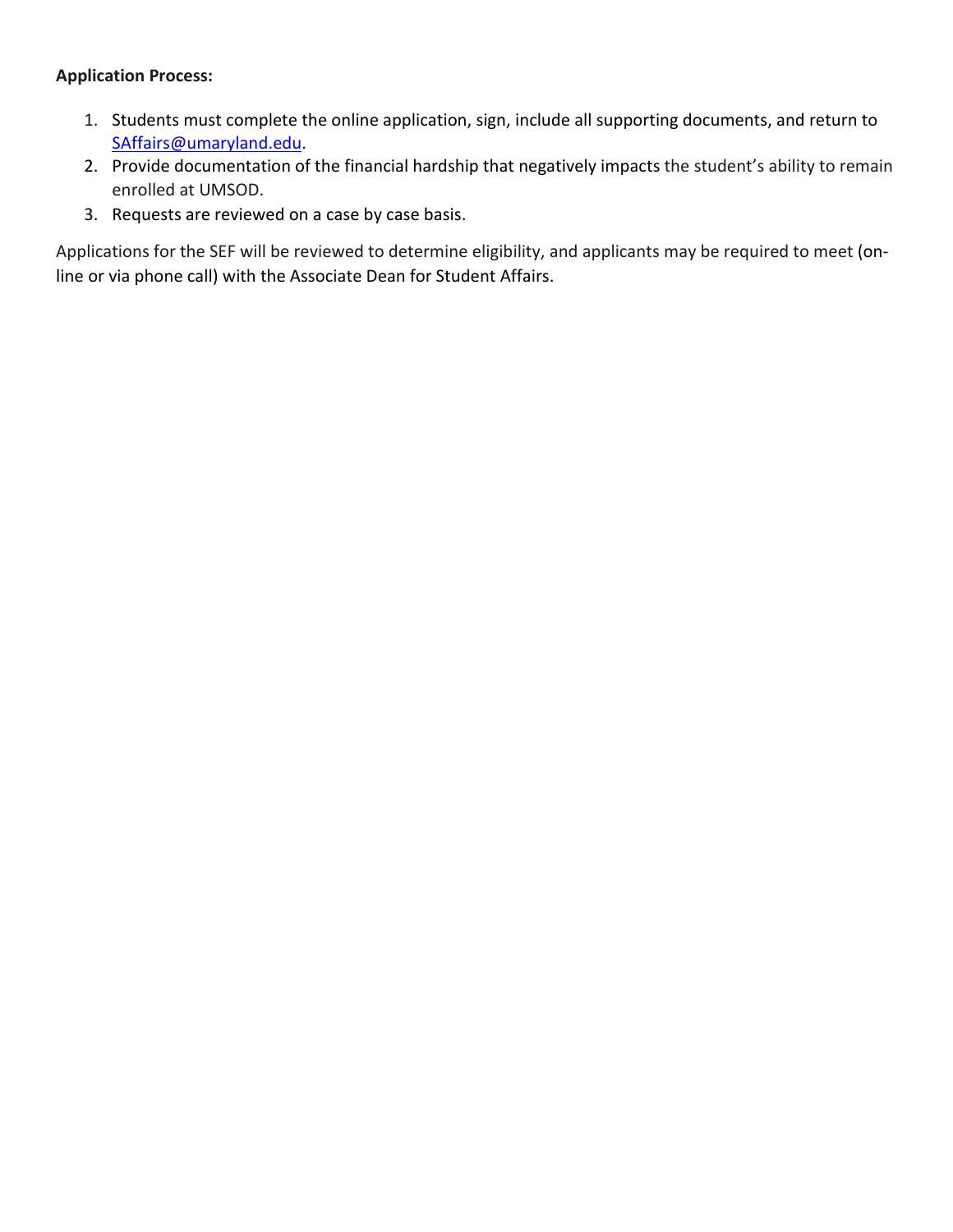#### **Application Process:**

- 1. Students must complete the online application, sign, include all supporting documents, and return to [SAffairs@umaryland.edu.](mailto:SAffairs@umaryland.edu)
- 2. Provide documentation of the financial hardship that negatively impacts the student's ability to remain enrolled at UMSOD.
- 3. Requests are reviewed on a case by case basis.

Applications for the SEF will be reviewed to determine eligibility, and applicants may be required to meet (online or via phone call) with the Associate Dean for Student Affairs.